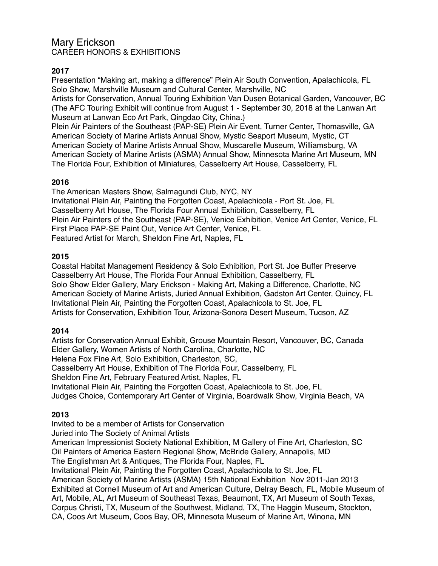# Mary Erickson CAREER HONORS & EXHIBITIONS

# **2017**

Presentation "Making art, making a difference" Plein Air South Convention, Apalachicola, FL Solo Show, Marshville Museum and Cultural Center, Marshville, NC

Artists for Conservation, Annual Touring Exhibition Van Dusen Botanical Garden, Vancouver, BC (The AFC Touring Exhibit will continue from August 1 - September 30, 2018 at the Lanwan Art Museum at Lanwan Eco Art Park, Qingdao City, China.)

Plein Air Painters of the Southeast (PAP-SE) Plein Air Event, Turner Center, Thomasville, GA American Society of Marine Artists Annual Show, Mystic Seaport Museum, Mystic, CT American Society of Marine Artists Annual Show, Muscarelle Museum, Williamsburg, VA American Society of Marine Artists (ASMA) Annual Show, Minnesota Marine Art Museum, MN The Florida Four, Exhibition of Miniatures, Casselberry Art House, Casselberry, FL

# **2016**

The American Masters Show, Salmagundi Club, NYC, NY Invitational Plein Air, Painting the Forgotten Coast, Apalachicola - Port St. Joe, FL Casselberry Art House, The Florida Four Annual Exhibition, Casselberry, FL Plein Air Painters of the Southeast (PAP-SE), Venice Exhibition, Venice Art Center, Venice, FL First Place PAP-SE Paint Out, Venice Art Center, Venice, FL Featured Artist for March, Sheldon Fine Art, Naples, FL

## **2015**

Coastal Habitat Management Residency & Solo Exhibition, Port St. Joe Buffer Preserve Casselberry Art House, The Florida Four Annual Exhibition, Casselberry, FL Solo Show Elder Gallery, Mary Erickson - Making Art, Making a Difference, Charlotte, NC American Society of Marine Artists, Juried Annual Exhibition, Gadston Art Center, Quincy, FL Invitational Plein Air, Painting the Forgotten Coast, Apalachicola to St. Joe, FL Artists for Conservation, Exhibition Tour, Arizona-Sonora Desert Museum, Tucson, AZ

# **2014**

Artists for Conservation Annual Exhibit, Grouse Mountain Resort, Vancouver, BC, Canada Elder Gallery, Women Artists of North Carolina, Charlotte, NC Helena Fox Fine Art, Solo Exhibition, Charleston, SC, Casselberry Art House, Exhibition of The Florida Four, Casselberry, FL Sheldon Fine Art, February Featured Artist, Naples, FL Invitational Plein Air, Painting the Forgotten Coast, Apalachicola to St. Joe, FL Judges Choice, Contemporary Art Center of Virginia, Boardwalk Show, Virginia Beach, VA

# **2013**

Invited to be a member of Artists for Conservation

Juried into The Society of Animal Artists

American Impressionist Society National Exhibition, M Gallery of Fine Art, Charleston, SC Oil Painters of America Eastern Regional Show, McBride Gallery, Annapolis, MD

The Englishman Art & Antiques, The Florida Four, Naples, FL

Invitational Plein Air, Painting the Forgotten Coast, Apalachicola to St. Joe, FL

American Society of Marine Artists (ASMA) 15th National Exhibition Nov 2011-Jan 2013 Exhibited at Cornell Museum of Art and American Culture, Delray Beach, FL, Mobile Museum of Art, Mobile, AL, Art Museum of Southeast Texas, Beaumont, TX, Art Museum of South Texas, Corpus Christi, TX, Museum of the Southwest, Midland, TX, The Haggin Museum, Stockton, CA, Coos Art Museum, Coos Bay, OR, Minnesota Museum of Marine Art, Winona, MN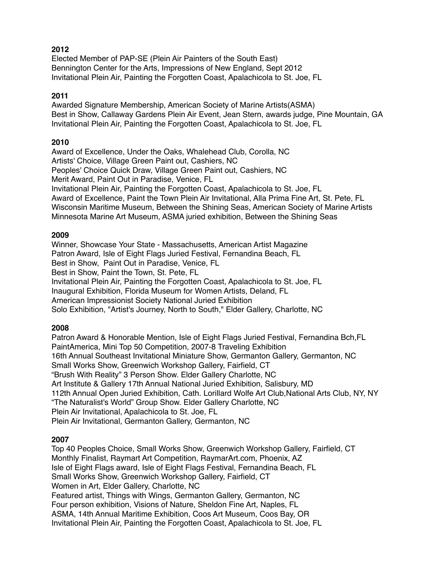# **2012**

Elected Member of PAP-SE (Plein Air Painters of the South East) Bennington Center for the Arts, Impressions of New England, Sept 2012 Invitational Plein Air, Painting the Forgotten Coast, Apalachicola to St. Joe, FL

## **2011**

Awarded Signature Membership, American Society of Marine Artists(ASMA) Best in Show, Callaway Gardens Plein Air Event, Jean Stern, awards judge, Pine Mountain, GA Invitational Plein Air, Painting the Forgotten Coast, Apalachicola to St. Joe, FL

## **2010**

Award of Excellence, Under the Oaks, Whalehead Club, Corolla, NC Artists' Choice, Village Green Paint out, Cashiers, NC Peoples' Choice Quick Draw, Village Green Paint out, Cashiers, NC Merit Award, Paint Out in Paradise, Venice, FL Invitational Plein Air, Painting the Forgotten Coast, Apalachicola to St. Joe, FL Award of Excellence, Paint the Town Plein Air Invitational, Alla Prima Fine Art, St. Pete, FL Wisconsin Maritime Museum, Between the Shining Seas, American Society of Marine Artists Minnesota Marine Art Museum, ASMA juried exhibition, Between the Shining Seas

## **2009**

Winner, Showcase Your State - Massachusetts, American Artist Magazine Patron Award, Isle of Eight Flags Juried Festival, Fernandina Beach, FL Best in Show, Paint Out in Paradise, Venice, FL Best in Show, Paint the Town, St. Pete, FL Invitational Plein Air, Painting the Forgotten Coast, Apalachicola to St. Joe, FL Inaugural Exhibition, Florida Museum for Women Artists, Deland, FL American Impressionist Society National Juried Exhibition Solo Exhibition, "Artist's Journey, North to South," Elder Gallery, Charlotte, NC

# **2008**

Patron Award & Honorable Mention, Isle of Eight Flags Juried Festival, Fernandina Bch,FL PaintAmerica, Mini Top 50 Competition, 2007-8 Traveling Exhibition 16th Annual Southeast Invitational Miniature Show, Germanton Gallery, Germanton, NC Small Works Show, Greenwich Workshop Gallery, Fairfield, CT "Brush With Reality" 3 Person Show. Elder Gallery Charlotte, NC Art Institute & Gallery 17th Annual National Juried Exhibition, Salisbury, MD 112th Annual Open Juried Exhibition, Cath. Lorillard Wolfe Art Club,National Arts Club, NY, NY "The Naturalist's World" Group Show. Elder Gallery Charlotte, NC Plein Air Invitational, Apalachicola to St. Joe, FL Plein Air Invitational, Germanton Gallery, Germanton, NC

## **2007**

Top 40 Peoples Choice, Small Works Show, Greenwich Workshop Gallery, Fairfield, CT Monthly Finalist, Raymart Art Competition, RaymarArt.com, Phoenix, AZ Isle of Eight Flags award, Isle of Eight Flags Festival, Fernandina Beach, FL Small Works Show, Greenwich Workshop Gallery, Fairfield, CT Women in Art, Elder Gallery, Charlotte, NC Featured artist, Things with Wings, Germanton Gallery, Germanton, NC Four person exhibition, Visions of Nature, Sheldon Fine Art, Naples, FL ASMA, 14th Annual Maritime Exhibition, Coos Art Museum, Coos Bay, OR Invitational Plein Air, Painting the Forgotten Coast, Apalachicola to St. Joe, FL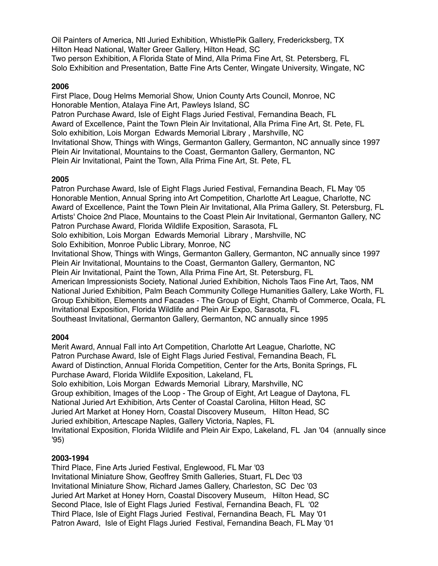Oil Painters of America, Ntl Juried Exhibition, WhistlePik Gallery, Fredericksberg, TX Hilton Head National, Walter Greer Gallery, Hilton Head, SC Two person Exhibition, A Florida State of Mind, Alla Prima Fine Art, St. Petersberg, FL Solo Exhibition and Presentation, Batte Fine Arts Center, Wingate University, Wingate, NC

### **2006**

First Place, Doug Helms Memorial Show, Union County Arts Council, Monroe, NC Honorable Mention, Atalaya Fine Art, Pawleys Island, SC Patron Purchase Award, Isle of Eight Flags Juried Festival, Fernandina Beach, FL Award of Excellence, Paint the Town Plein Air Invitational, Alla Prima Fine Art, St. Pete, FL Solo exhibition, Lois Morgan Edwards Memorial Library , Marshville, NC Invitational Show, Things with Wings, Germanton Gallery, Germanton, NC annually since 1997 Plein Air Invitational, Mountains to the Coast, Germanton Gallery, Germanton, NC Plein Air Invitational, Paint the Town, Alla Prima Fine Art, St. Pete, FL

### **2005**

Patron Purchase Award, Isle of Eight Flags Juried Festival, Fernandina Beach, FL May '05 Honorable Mention, Annual Spring into Art Competition, Charlotte Art League, Charlotte, NC Award of Excellence, Paint the Town Plein Air Invitational, Alla Prima Gallery, St. Petersburg, FL Artists' Choice 2nd Place, Mountains to the Coast Plein Air Invitational, Germanton Gallery, NC Patron Purchase Award, Florida Wildlife Exposition, Sarasota, FL Solo exhibition, Lois Morgan Edwards Memorial Library , Marshville, NC Solo Exhibition, Monroe Public Library, Monroe, NC Invitational Show, Things with Wings, Germanton Gallery, Germanton, NC annually since 1997 Plein Air Invitational, Mountains to the Coast, Germanton Gallery, Germanton, NC Plein Air Invitational, Paint the Town, Alla Prima Fine Art, St. Petersburg, FL American Impressionists Society, National Juried Exhibition, Nichols Taos Fine Art, Taos, NM National Juried Exhibition, Palm Beach Community College Humanities Gallery, Lake Worth, FL Group Exhibition, Elements and Facades - The Group of Eight, Chamb of Commerce, Ocala, FL Invitational Exposition, Florida Wildlife and Plein Air Expo, Sarasota, FL Southeast Invitational, Germanton Gallery, Germanton, NC annually since 1995

## **2004**

Merit Award, Annual Fall into Art Competition, Charlotte Art League, Charlotte, NC Patron Purchase Award, Isle of Eight Flags Juried Festival, Fernandina Beach, FL Award of Distinction, Annual Florida Competition, Center for the Arts, Bonita Springs, FL Purchase Award, Florida Wildlife Exposition, Lakeland, FL Solo exhibition, Lois Morgan Edwards Memorial Library, Marshville, NC Group exhibition, Images of the Loop - The Group of Eight, Art League of Daytona, FL National Juried Art Exhibition, Arts Center of Coastal Carolina, Hilton Head, SC Juried Art Market at Honey Horn, Coastal Discovery Museum, Hilton Head, SC Juried exhibition, Artescape Naples, Gallery Victoria, Naples, FL Invitational Exposition, Florida Wildlife and Plein Air Expo, Lakeland, FL Jan '04 (annually since '95)

#### **2003-1994**

Third Place, Fine Arts Juried Festival, Englewood, FL Mar '03 Invitational Miniature Show, Geoffrey Smith Galleries, Stuart, FL Dec '03 Invitational Miniature Show, Richard James Gallery, Charleston, SC Dec '03 Juried Art Market at Honey Horn, Coastal Discovery Museum, Hilton Head, SC Second Place, Isle of Eight Flags Juried Festival, Fernandina Beach, FL '02 Third Place, Isle of Eight Flags Juried Festival, Fernandina Beach, FL May '01 Patron Award, Isle of Eight Flags Juried Festival, Fernandina Beach, FL May '01